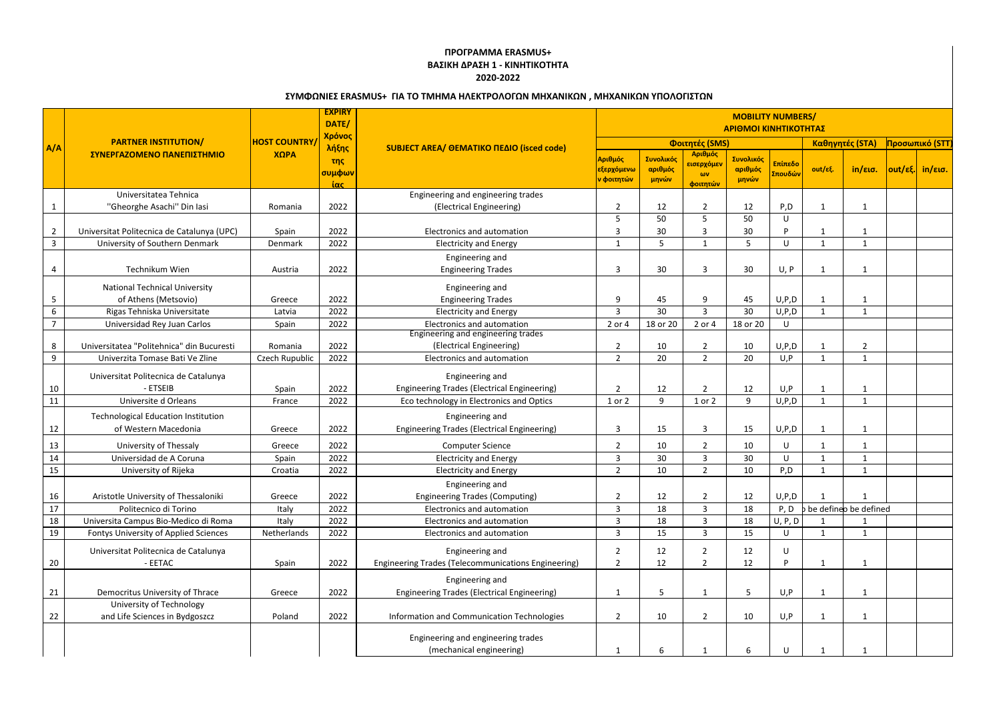## **ΠΡΟΓΡΑΜΜΑ ERASMUS+ ΒΑΣΙΚΗ ΔΡΑΣΗ 1 - ΚΙΝΗΤΙΚΟΤΗΤΑ 2020-2022**

| <u>2YIVIWSINIE2 EKASIVIUS+ TIA TO TIVIHIVIA HAEKTPOAOIS2N IVIHXANIKS2N , IVIHXANIKS2N YITOAOIT2TS2N</u> |                                                           |                             |               |                                                     |                                  |           |                                |                 |                    |                 |                         |                 |                |  |
|---------------------------------------------------------------------------------------------------------|-----------------------------------------------------------|-----------------------------|---------------|-----------------------------------------------------|----------------------------------|-----------|--------------------------------|-----------------|--------------------|-----------------|-------------------------|-----------------|----------------|--|
| A/A                                                                                                     | <b>PARTNER INSTITUTION/</b><br>ΣΥΝΕΡΓΑΖΟΜΕΝΟ ΠΑΝΕΠΙΣΤΗΜΙΟ | <b>HOST COUNTRY</b><br>ΧΩΡΑ | <b>EXPIRY</b> | SUBJECT AREA/ ΘΕΜΑΤΙΚΟ ΠΕΔΙΟ (isced code)           | <b>MOBILITY NUMBERS/</b>         |           |                                |                 |                    |                 |                         |                 |                |  |
|                                                                                                         |                                                           |                             | DATE/         |                                                     | ΑΡΙΘΜΟΙ ΚΙΝΗΤΙΚΟΤΗΤΑΣ            |           |                                |                 |                    |                 |                         |                 |                |  |
|                                                                                                         |                                                           |                             | Χρόνος        |                                                     | Φοιτητές (SMS)                   |           |                                |                 |                    | Καθηγητές (STA) |                         |                 | Προσωπικό (STT |  |
|                                                                                                         |                                                           |                             | λήξης         |                                                     | Αριθμός                          | Συνολικός | Αριθμός                        | Συνολικός       |                    |                 |                         |                 |                |  |
|                                                                                                         |                                                           |                             | της<br>συμφων |                                                     | <mark>εξερχόμενω</mark>          | αριθμός   | εισερχόμεν<br>ωv               | αριθμός         | Επίπεδο<br>Σπουδών | out/εξ.         | $in/\epsilon$ ισ.       | out/εξ. in/εισ. |                |  |
|                                                                                                         |                                                           |                             | ίας           |                                                     | ν φοιτητών                       | μηνών     | φοιτητών                       | μηνών           |                    |                 |                         |                 |                |  |
|                                                                                                         | Universitatea Tehnica                                     |                             |               | Engineering and engineering trades                  |                                  |           |                                |                 |                    |                 |                         |                 |                |  |
|                                                                                                         | "Gheorghe Asachi" Din Iasi                                | Romania                     | 2022          | (Electrical Engineering)                            | $\overline{2}$                   | 12        | $\overline{2}$                 | 12              | P, D               |                 |                         |                 |                |  |
|                                                                                                         |                                                           |                             |               |                                                     | 5                                | 50        | 5                              | 50              | $\cup$             |                 |                         |                 |                |  |
| $\overline{2}$                                                                                          | Universitat Politecnica de Catalunya (UPC)                | Spain                       | 2022          | <b>Electronics and automation</b>                   | 3                                | 30        | 3                              | 30              |                    |                 |                         |                 |                |  |
| 3                                                                                                       | University of Southern Denmark                            | Denmark                     | 2022          | <b>Electricity and Energy</b>                       | $\mathbf{1}$                     | 5         | $\overline{1}$                 | .5              | U                  | $\mathbf{1}$    |                         |                 |                |  |
|                                                                                                         |                                                           |                             |               | Engineering and                                     |                                  |           |                                |                 |                    |                 |                         |                 |                |  |
|                                                                                                         | Technikum Wien                                            | Austria                     | 2022          | <b>Engineering Trades</b>                           | $\overline{3}$                   | 30        | 3                              | 30 <sup>°</sup> | U, P               | 1               |                         |                 |                |  |
|                                                                                                         | <b>National Technical University</b>                      |                             |               | Engineering and                                     |                                  |           |                                |                 |                    |                 |                         |                 |                |  |
| 5                                                                                                       | of Athens (Metsovio)                                      | Greece                      | 2022          | <b>Engineering Trades</b>                           | 9                                | 45        | 9                              | 45              | U, P, D            |                 |                         |                 |                |  |
| 6                                                                                                       | Rigas Tehniska Universitate                               | Latvia                      | 2022          | <b>Electricity and Energy</b>                       | $\overline{3}$                   | 30        | $\overline{3}$                 | 30              | U, P, D            | $\mathbf{1}$    | $\mathbf{1}$            |                 |                |  |
|                                                                                                         | Universidad Rey Juan Carlos                               | Spain                       | 2022          | Electronics and automation                          | 2 or 4                           | 18 or 20  | 2 or 4                         | 18 or 20        | U                  |                 |                         |                 |                |  |
|                                                                                                         |                                                           |                             |               | Engineering and engineering trades                  |                                  |           |                                |                 |                    |                 |                         |                 |                |  |
| 8                                                                                                       | Universitatea "Politehnica" din Bucuresti                 | Romania                     | 2022          | (Electrical Engineering)                            | 2                                | 10        | $\overline{2}$                 | 10              | U, P, D            |                 | 2                       |                 |                |  |
| 9                                                                                                       | Univerzita Tomase Bati Ve Zline                           | Czech Rupublic              | 2022          | <b>Electronics and automation</b>                   | $\overline{2}$                   | 20        | $\overline{2}$                 | 20              | U, P               | $\mathbf{1}$    |                         |                 |                |  |
|                                                                                                         | Universitat Politecnica de Catalunya                      |                             |               | Engineering and                                     |                                  |           |                                |                 |                    |                 |                         |                 |                |  |
| 10                                                                                                      | - ETSEIB                                                  | Spain                       | 2022          | <b>Engineering Trades (Electrical Engineering)</b>  | 2                                | 12        | $\overline{2}$                 | 12              | U, P               |                 | 1                       |                 |                |  |
| 11                                                                                                      | Universite d Orleans                                      | France                      | 2022          | Eco technology in Electronics and Optics            | 1 or 2                           | 9         | $1$ or $2$                     | 9               | U, P, D            | $\mathbf{1}$    | -1                      |                 |                |  |
|                                                                                                         | <b>Technological Education Institution</b>                |                             |               | Engineering and                                     |                                  |           |                                |                 |                    |                 |                         |                 |                |  |
| 12                                                                                                      | of Western Macedonia                                      | Greece                      | 2022          | <b>Engineering Trades (Electrical Engineering)</b>  | 3                                | 15        | 3                              | 15              | U, P, D            | 1               | -1                      |                 |                |  |
|                                                                                                         |                                                           |                             |               |                                                     |                                  |           |                                |                 |                    |                 |                         |                 |                |  |
| 13                                                                                                      | University of Thessaly                                    | Greece                      | 2022          | <b>Computer Science</b>                             | $\overline{2}$                   | 10        | $\overline{2}$                 | 10              | U                  |                 |                         |                 |                |  |
| 14                                                                                                      | Universidad de A Coruna                                   | Spain                       | 2022          | <b>Electricity and Energy</b>                       | $\overline{3}$<br>$\mathcal{D}$  | 30        | 3<br>ີ                         | 30              | U                  | $\mathbf{1}$    |                         |                 |                |  |
| 15                                                                                                      | University of Rijeka                                      | Croatia                     | 2022          | <b>Electricity and Energy</b>                       |                                  | 10        |                                | 10              | P.D.               |                 |                         |                 |                |  |
|                                                                                                         |                                                           |                             |               | Engineering and                                     |                                  |           |                                |                 |                    |                 |                         |                 |                |  |
| 16                                                                                                      | Aristotle University of Thessaloniki                      | Greece                      | 2022          | <b>Engineering Trades (Computing)</b>               | $\overline{2}$                   | 12        | $\overline{2}$                 | 12              | U, P, D            |                 |                         |                 |                |  |
| 17                                                                                                      | Politecnico di Torino                                     | Italy                       | 2022          | Electronics and automation                          | $\overline{3}$                   | 18        | $\overline{3}$                 | 18              | P, D               |                 | b be defineo be defined |                 |                |  |
| 18                                                                                                      | Universita Campus Bio-Medico di Roma                      | Italy<br>Netherlands        | 2022          | Electronics and automation                          | $\overline{3}$<br>$\overline{3}$ | 18        | $\mathbf{3}$<br>$\overline{3}$ | 18<br>15        | U, P, D            | $\mathbf{1}$    |                         |                 |                |  |
| 19                                                                                                      | Fontys University of Applied Sciences                     |                             | 2022          | Electronics and automation                          |                                  | 15        |                                |                 | U                  |                 |                         |                 |                |  |
|                                                                                                         | Universitat Politecnica de Catalunya                      |                             |               | Engineering and                                     | $\overline{2}$                   | 12        | $\overline{2}$                 | 12              | U                  |                 |                         |                 |                |  |
| 20                                                                                                      | - EETAC                                                   | Spain                       | 2022          | Engineering Trades (Telecommunications Engineering) | $\overline{2}$                   | 12        | $\overline{2}$                 | 12              |                    | 1               | 1                       |                 |                |  |
|                                                                                                         |                                                           |                             |               | Engineering and                                     |                                  |           |                                |                 |                    |                 |                         |                 |                |  |
| 21                                                                                                      | Democritus University of Thrace                           | Greece                      | 2022          | <b>Engineering Trades (Electrical Engineering)</b>  | -1                               | 5         | $\mathbf{1}$                   | 5               | U, P               | 1               |                         |                 |                |  |
|                                                                                                         | University of Technology                                  |                             |               |                                                     |                                  |           |                                |                 |                    |                 |                         |                 |                |  |
| 22                                                                                                      | and Life Sciences in Bydgoszcz                            | Poland                      | 2022          | Information and Communication Technologies          | $\overline{2}$                   | 10        | $\overline{2}$                 | 10              | U, P               | $\mathbf{1}$    | $\mathbf{1}$            |                 |                |  |
|                                                                                                         |                                                           |                             |               |                                                     |                                  |           |                                |                 |                    |                 |                         |                 |                |  |
|                                                                                                         |                                                           |                             |               | Engineering and engineering trades                  |                                  |           |                                |                 |                    |                 |                         |                 |                |  |
|                                                                                                         |                                                           |                             |               | (mechanical engineering)                            |                                  | 6         |                                |                 | U                  |                 |                         |                 |                |  |

## **ΣΥΜΦΩΝΙΕΣ ERASMUS+ ΓΙΑ ΤΟ ΤΜΗΜΑ ΗΛΕΚΤΡΟΛΟΓΩΝ ΜΗΧΑΝΙΚΩΝ , ΜΗΧΑΝΙΚΩΝ ΥΠΟΛΟΓΙΣΤΩΝ**